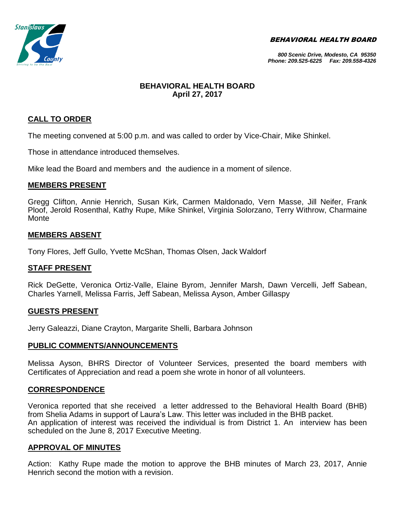BEHAVIORAL HEALTH BOARD



#### *800 Scenic Drive, Modesto, CA 95350 Phone: 209.525-6225 Fax: 209.558-4326*

# **BEHAVIORAL HEALTH BOARD April 27, 2017**

# **CALL TO ORDER**

The meeting convened at 5:00 p.m. and was called to order by Vice-Chair, Mike Shinkel.

Those in attendance introduced themselves.

Mike lead the Board and members and the audience in a moment of silence.

#### **MEMBERS PRESENT**

Gregg Clifton, Annie Henrich, Susan Kirk, Carmen Maldonado, Vern Masse, Jill Neifer, Frank Ploof, Jerold Rosenthal, Kathy Rupe, Mike Shinkel, Virginia Solorzano, Terry Withrow, Charmaine Monte

#### **MEMBERS ABSENT**

Tony Flores, Jeff Gullo, Yvette McShan, Thomas Olsen, Jack Waldorf

## **STAFF PRESENT**

Rick DeGette, Veronica Ortiz-Valle, Elaine Byrom, Jennifer Marsh, Dawn Vercelli, Jeff Sabean, Charles Yarnell, Melissa Farris, Jeff Sabean, Melissa Ayson, Amber Gillaspy

#### **GUESTS PRESENT**

Jerry Galeazzi, Diane Crayton, Margarite Shelli, Barbara Johnson

## **PUBLIC COMMENTS/ANNOUNCEMENTS**

Melissa Ayson, BHRS Director of Volunteer Services, presented the board members with Certificates of Appreciation and read a poem she wrote in honor of all volunteers.

## **CORRESPONDENCE**

Veronica reported that she received a letter addressed to the Behavioral Health Board (BHB) from Shelia Adams in support of Laura's Law. This letter was included in the BHB packet. An application of interest was received the individual is from District 1. An interview has been scheduled on the June 8, 2017 Executive Meeting.

## **APPROVAL OF MINUTES**

Action: Kathy Rupe made the motion to approve the BHB minutes of March 23, 2017, Annie Henrich second the motion with a revision.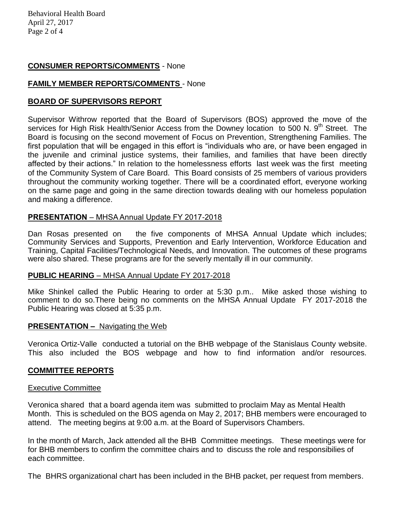## **CONSUMER REPORTS/COMMENTS** - None

# **FAMILY MEMBER REPORTS/COMMENTS** - None

## **BOARD OF SUPERVISORS REPORT**

Supervisor Withrow reported that the Board of Supervisors (BOS) approved the move of the services for High Risk Health/Senior Access from the Downey location to 500 N. 9<sup>th</sup> Street. The Board is focusing on the second movement of Focus on Prevention, Strengthening Families. The first population that will be engaged in this effort is "individuals who are, or have been engaged in the juvenile and criminal justice systems, their families, and families that have been directly affected by their actions." In relation to the homelessness efforts last week was the first meeting of the Community System of Care Board. This Board consists of 25 members of various providers throughout the community working together. There will be a coordinated effort, everyone working on the same page and going in the same direction towards dealing with our homeless population and making a difference.

## **PRESENTATION** – MHSA Annual Update FY 2017-2018

Dan Rosas presented on the five components of MHSA Annual Update which includes; Community Services and Supports, Prevention and Early Intervention, Workforce Education and Training, Capital Facilities/Technological Needs, and Innovation. The outcomes of these programs were also shared. These programs are for the severly mentally ill in our community.

## **PUBLIC HEARING** – MHSA Annual Update FY 2017-2018

Mike Shinkel called the Public Hearing to order at 5:30 p.m.. Mike asked those wishing to comment to do so.There being no comments on the MHSA Annual Update FY 2017-2018 the Public Hearing was closed at 5:35 p.m.

## **PRESENTATION –** Navigating the Web

Veronica Ortiz-Valle conducted a tutorial on the BHB webpage of the Stanislaus County website. This also included the BOS webpage and how to find information and/or resources.

## **COMMITTEE REPORTS**

#### Executive Committee

Veronica shared that a board agenda item was submitted to proclaim May as Mental Health Month. This is scheduled on the BOS agenda on May 2, 2017; BHB members were encouraged to attend. The meeting begins at 9:00 a.m. at the Board of Supervisors Chambers.

In the month of March, Jack attended all the BHB Committee meetings. These meetings were for for BHB members to confirm the committee chairs and to discuss the role and responsibilies of each committee.

The BHRS organizational chart has been included in the BHB packet, per request from members.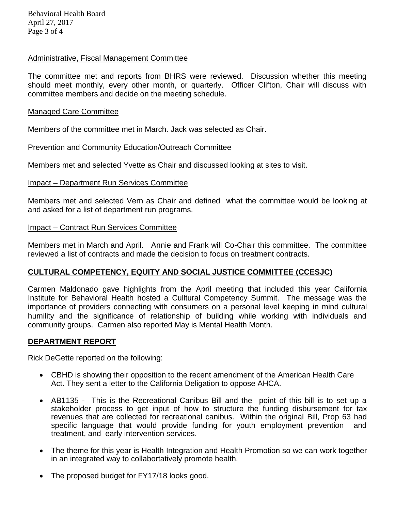Behavioral Health Board April 27, 2017 Page 3 of 4

#### Administrative, Fiscal Management Committee

The committee met and reports from BHRS were reviewed. Discussion whether this meeting should meet monthly, every other month, or quarterly. Officer Clifton, Chair will discuss with committee members and decide on the meeting schedule.

#### Managed Care Committee

Members of the committee met in March. Jack was selected as Chair.

#### Prevention and Community Education/Outreach Committee

Members met and selected Yvette as Chair and discussed looking at sites to visit.

#### Impact – Department Run Services Committee

Members met and selected Vern as Chair and defined what the committee would be looking at and asked for a list of department run programs.

#### Impact – Contract Run Services Committee

Members met in March and April. Annie and Frank will Co-Chair this committee. The committee reviewed a list of contracts and made the decision to focus on treatment contracts.

## **CULTURAL COMPETENCY, EQUITY AND SOCIAL JUSTICE COMMITTEE (CCESJC)**

Carmen Maldonado gave highlights from the April meeting that included this year California Institute for Behavioral Health hosted a Culltural Competency Summit. The message was the importance of providers connecting with consumers on a personal level keeping in mind cultural humility and the significance of relationship of building while working with individuals and community groups. Carmen also reported May is Mental Health Month.

#### **DEPARTMENT REPORT**

Rick DeGette reported on the following:

- CBHD is showing their opposition to the recent amendment of the American Health Care Act. They sent a letter to the California Deligation to oppose AHCA.
- AB1135 This is the Recreational Canibus Bill and the point of this bill is to set up a stakeholder process to get input of how to structure the funding disbursement for tax revenues that are collected for recreational canibus. Within the original Bill, Prop 63 had specific language that would provide funding for youth employment prevention and treatment, and early intervention services.
- The theme for this year is Health Integration and Health Promotion so we can work together in an integrated way to collabortatively promote health.
- The proposed budget for FY17/18 looks good.